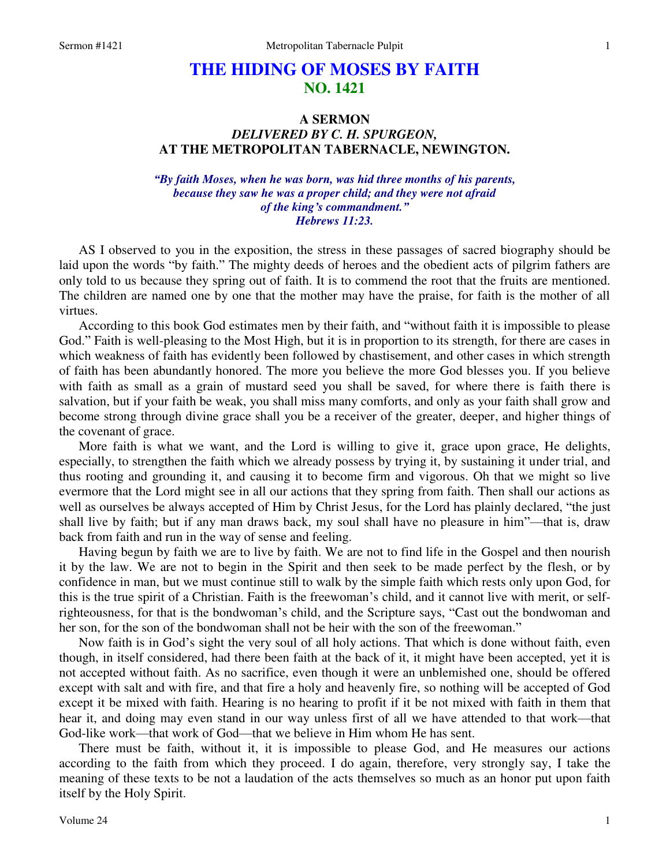## **THE HIDING OF MOSES BY FAITH NO. 1421**

## **A SERMON**  *DELIVERED BY C. H. SPURGEON,*  **AT THE METROPOLITAN TABERNACLE, NEWINGTON.**

*"By faith Moses, when he was born, was hid three months of his parents, because they saw he was a proper child; and they were not afraid of the king's commandment." Hebrews 11:23.* 

AS I observed to you in the exposition, the stress in these passages of sacred biography should be laid upon the words "by faith." The mighty deeds of heroes and the obedient acts of pilgrim fathers are only told to us because they spring out of faith. It is to commend the root that the fruits are mentioned. The children are named one by one that the mother may have the praise, for faith is the mother of all virtues.

According to this book God estimates men by their faith, and "without faith it is impossible to please God." Faith is well-pleasing to the Most High, but it is in proportion to its strength, for there are cases in which weakness of faith has evidently been followed by chastisement, and other cases in which strength of faith has been abundantly honored. The more you believe the more God blesses you. If you believe with faith as small as a grain of mustard seed you shall be saved, for where there is faith there is salvation, but if your faith be weak, you shall miss many comforts, and only as your faith shall grow and become strong through divine grace shall you be a receiver of the greater, deeper, and higher things of the covenant of grace.

More faith is what we want, and the Lord is willing to give it, grace upon grace, He delights, especially, to strengthen the faith which we already possess by trying it, by sustaining it under trial, and thus rooting and grounding it, and causing it to become firm and vigorous. Oh that we might so live evermore that the Lord might see in all our actions that they spring from faith. Then shall our actions as well as ourselves be always accepted of Him by Christ Jesus, for the Lord has plainly declared, "the just shall live by faith; but if any man draws back, my soul shall have no pleasure in him"—that is, draw back from faith and run in the way of sense and feeling.

Having begun by faith we are to live by faith. We are not to find life in the Gospel and then nourish it by the law. We are not to begin in the Spirit and then seek to be made perfect by the flesh, or by confidence in man, but we must continue still to walk by the simple faith which rests only upon God, for this is the true spirit of a Christian. Faith is the freewoman's child, and it cannot live with merit, or selfrighteousness, for that is the bondwoman's child, and the Scripture says, "Cast out the bondwoman and her son, for the son of the bondwoman shall not be heir with the son of the freewoman."

Now faith is in God's sight the very soul of all holy actions. That which is done without faith, even though, in itself considered, had there been faith at the back of it, it might have been accepted, yet it is not accepted without faith. As no sacrifice, even though it were an unblemished one, should be offered except with salt and with fire, and that fire a holy and heavenly fire, so nothing will be accepted of God except it be mixed with faith. Hearing is no hearing to profit if it be not mixed with faith in them that hear it, and doing may even stand in our way unless first of all we have attended to that work—that God-like work—that work of God—that we believe in Him whom He has sent.

There must be faith, without it, it is impossible to please God, and He measures our actions according to the faith from which they proceed. I do again, therefore, very strongly say, I take the meaning of these texts to be not a laudation of the acts themselves so much as an honor put upon faith itself by the Holy Spirit.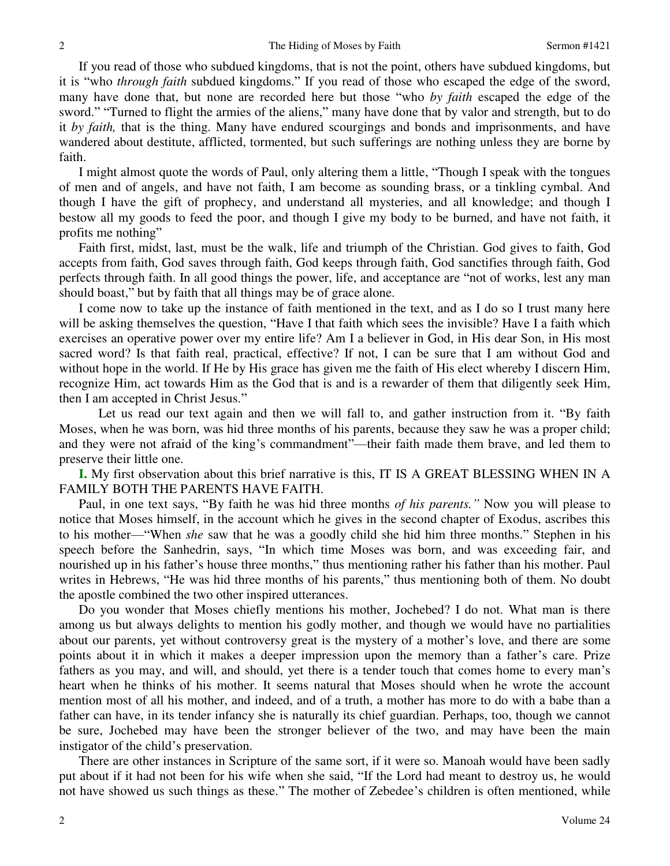If you read of those who subdued kingdoms, that is not the point, others have subdued kingdoms, but it is "who *through faith* subdued kingdoms." If you read of those who escaped the edge of the sword, many have done that, but none are recorded here but those "who *by faith* escaped the edge of the sword." "Turned to flight the armies of the aliens," many have done that by valor and strength, but to do it *by faith,* that is the thing. Many have endured scourgings and bonds and imprisonments, and have wandered about destitute, afflicted, tormented, but such sufferings are nothing unless they are borne by faith.

I might almost quote the words of Paul, only altering them a little, "Though I speak with the tongues of men and of angels, and have not faith, I am become as sounding brass, or a tinkling cymbal. And though I have the gift of prophecy, and understand all mysteries, and all knowledge; and though I bestow all my goods to feed the poor, and though I give my body to be burned, and have not faith, it profits me nothing"

Faith first, midst, last, must be the walk, life and triumph of the Christian. God gives to faith, God accepts from faith, God saves through faith, God keeps through faith, God sanctifies through faith, God perfects through faith. In all good things the power, life, and acceptance are "not of works, lest any man should boast," but by faith that all things may be of grace alone.

I come now to take up the instance of faith mentioned in the text, and as I do so I trust many here will be asking themselves the question, "Have I that faith which sees the invisible? Have I a faith which exercises an operative power over my entire life? Am I a believer in God, in His dear Son, in His most sacred word? Is that faith real, practical, effective? If not, I can be sure that I am without God and without hope in the world. If He by His grace has given me the faith of His elect whereby I discern Him, recognize Him, act towards Him as the God that is and is a rewarder of them that diligently seek Him, then I am accepted in Christ Jesus."

Let us read our text again and then we will fall to, and gather instruction from it. "By faith Moses, when he was born, was hid three months of his parents, because they saw he was a proper child; and they were not afraid of the king's commandment"—their faith made them brave, and led them to preserve their little one.

**I.** My first observation about this brief narrative is this, IT IS A GREAT BLESSING WHEN IN A FAMILY BOTH THE PARENTS HAVE FAITH.

Paul, in one text says, "By faith he was hid three months *of his parents."* Now you will please to notice that Moses himself, in the account which he gives in the second chapter of Exodus, ascribes this to his mother—"When *she* saw that he was a goodly child she hid him three months." Stephen in his speech before the Sanhedrin, says, "In which time Moses was born, and was exceeding fair, and nourished up in his father's house three months," thus mentioning rather his father than his mother. Paul writes in Hebrews, "He was hid three months of his parents," thus mentioning both of them. No doubt the apostle combined the two other inspired utterances.

Do you wonder that Moses chiefly mentions his mother, Jochebed? I do not. What man is there among us but always delights to mention his godly mother, and though we would have no partialities about our parents, yet without controversy great is the mystery of a mother's love, and there are some points about it in which it makes a deeper impression upon the memory than a father's care. Prize fathers as you may, and will, and should, yet there is a tender touch that comes home to every man's heart when he thinks of his mother. It seems natural that Moses should when he wrote the account mention most of all his mother, and indeed, and of a truth, a mother has more to do with a babe than a father can have, in its tender infancy she is naturally its chief guardian. Perhaps, too, though we cannot be sure, Jochebed may have been the stronger believer of the two, and may have been the main instigator of the child's preservation.

There are other instances in Scripture of the same sort, if it were so. Manoah would have been sadly put about if it had not been for his wife when she said, "If the Lord had meant to destroy us, he would not have showed us such things as these." The mother of Zebedee's children is often mentioned, while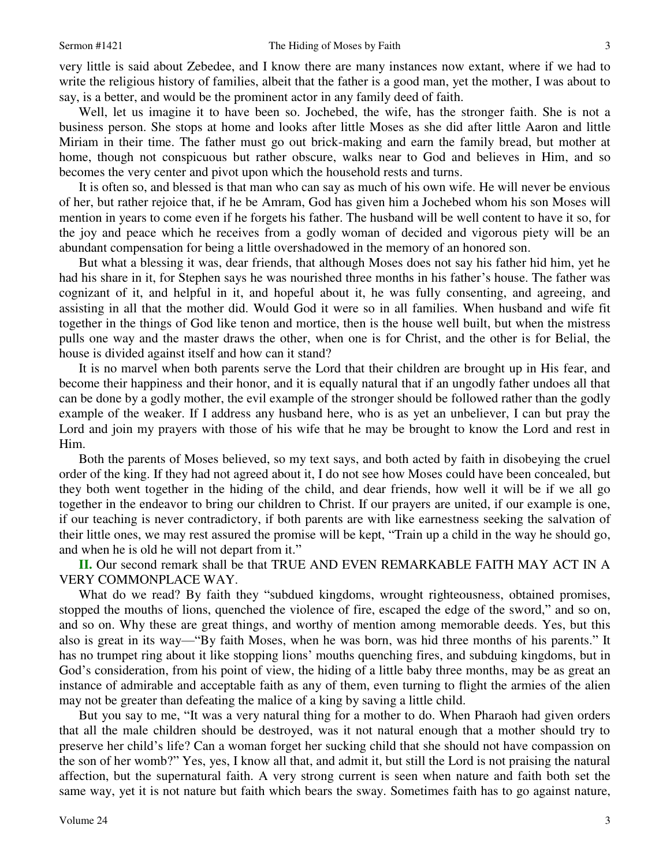very little is said about Zebedee, and I know there are many instances now extant, where if we had to write the religious history of families, albeit that the father is a good man, yet the mother, I was about to say, is a better, and would be the prominent actor in any family deed of faith.

Well, let us imagine it to have been so. Jochebed, the wife, has the stronger faith. She is not a business person. She stops at home and looks after little Moses as she did after little Aaron and little Miriam in their time. The father must go out brick-making and earn the family bread, but mother at home, though not conspicuous but rather obscure, walks near to God and believes in Him, and so becomes the very center and pivot upon which the household rests and turns.

It is often so, and blessed is that man who can say as much of his own wife. He will never be envious of her, but rather rejoice that, if he be Amram, God has given him a Jochebed whom his son Moses will mention in years to come even if he forgets his father. The husband will be well content to have it so, for the joy and peace which he receives from a godly woman of decided and vigorous piety will be an abundant compensation for being a little overshadowed in the memory of an honored son.

But what a blessing it was, dear friends, that although Moses does not say his father hid him, yet he had his share in it, for Stephen says he was nourished three months in his father's house. The father was cognizant of it, and helpful in it, and hopeful about it, he was fully consenting, and agreeing, and assisting in all that the mother did. Would God it were so in all families. When husband and wife fit together in the things of God like tenon and mortice, then is the house well built, but when the mistress pulls one way and the master draws the other, when one is for Christ, and the other is for Belial, the house is divided against itself and how can it stand?

It is no marvel when both parents serve the Lord that their children are brought up in His fear, and become their happiness and their honor, and it is equally natural that if an ungodly father undoes all that can be done by a godly mother, the evil example of the stronger should be followed rather than the godly example of the weaker. If I address any husband here, who is as yet an unbeliever, I can but pray the Lord and join my prayers with those of his wife that he may be brought to know the Lord and rest in Him.

Both the parents of Moses believed, so my text says, and both acted by faith in disobeying the cruel order of the king. If they had not agreed about it, I do not see how Moses could have been concealed, but they both went together in the hiding of the child, and dear friends, how well it will be if we all go together in the endeavor to bring our children to Christ. If our prayers are united, if our example is one, if our teaching is never contradictory, if both parents are with like earnestness seeking the salvation of their little ones, we may rest assured the promise will be kept, "Train up a child in the way he should go, and when he is old he will not depart from it."

**II.** Our second remark shall be that TRUE AND EVEN REMARKABLE FAITH MAY ACT IN A VERY COMMONPLACE WAY.

What do we read? By faith they "subdued kingdoms, wrought righteousness, obtained promises, stopped the mouths of lions, quenched the violence of fire, escaped the edge of the sword," and so on, and so on. Why these are great things, and worthy of mention among memorable deeds. Yes, but this also is great in its way—"By faith Moses, when he was born, was hid three months of his parents." It has no trumpet ring about it like stopping lions' mouths quenching fires, and subduing kingdoms, but in God's consideration, from his point of view, the hiding of a little baby three months, may be as great an instance of admirable and acceptable faith as any of them, even turning to flight the armies of the alien may not be greater than defeating the malice of a king by saving a little child.

But you say to me, "It was a very natural thing for a mother to do. When Pharaoh had given orders that all the male children should be destroyed, was it not natural enough that a mother should try to preserve her child's life? Can a woman forget her sucking child that she should not have compassion on the son of her womb?" Yes, yes, I know all that, and admit it, but still the Lord is not praising the natural affection, but the supernatural faith. A very strong current is seen when nature and faith both set the same way, yet it is not nature but faith which bears the sway. Sometimes faith has to go against nature,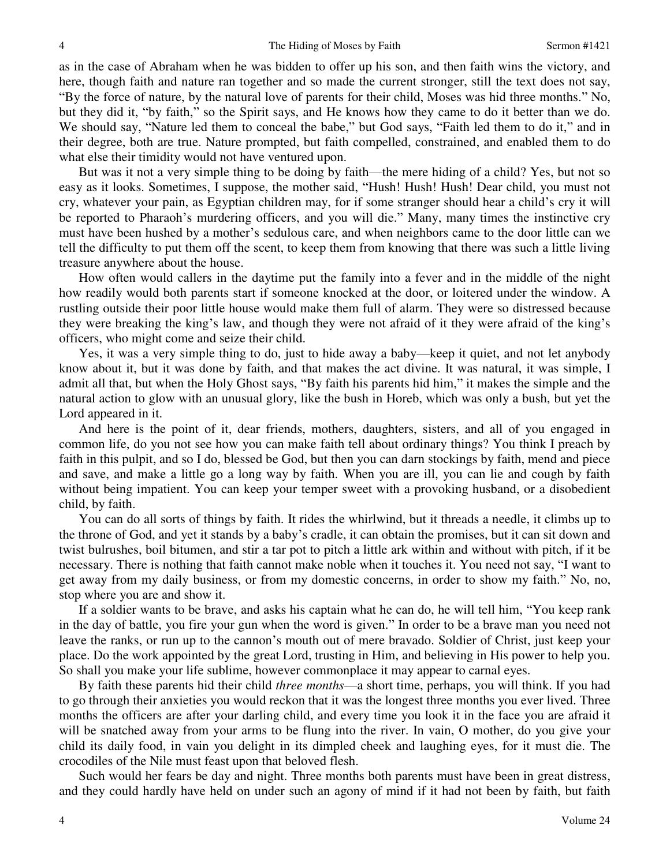as in the case of Abraham when he was bidden to offer up his son, and then faith wins the victory, and here, though faith and nature ran together and so made the current stronger, still the text does not say, "By the force of nature, by the natural love of parents for their child, Moses was hid three months." No, but they did it, "by faith," so the Spirit says, and He knows how they came to do it better than we do. We should say, "Nature led them to conceal the babe," but God says, "Faith led them to do it," and in their degree, both are true. Nature prompted, but faith compelled, constrained, and enabled them to do what else their timidity would not have ventured upon.

But was it not a very simple thing to be doing by faith—the mere hiding of a child? Yes, but not so easy as it looks. Sometimes, I suppose, the mother said, "Hush! Hush! Hush! Dear child, you must not cry, whatever your pain, as Egyptian children may, for if some stranger should hear a child's cry it will be reported to Pharaoh's murdering officers, and you will die." Many, many times the instinctive cry must have been hushed by a mother's sedulous care, and when neighbors came to the door little can we tell the difficulty to put them off the scent, to keep them from knowing that there was such a little living treasure anywhere about the house.

How often would callers in the daytime put the family into a fever and in the middle of the night how readily would both parents start if someone knocked at the door, or loitered under the window. A rustling outside their poor little house would make them full of alarm. They were so distressed because they were breaking the king's law, and though they were not afraid of it they were afraid of the king's officers, who might come and seize their child.

Yes, it was a very simple thing to do, just to hide away a baby—keep it quiet, and not let anybody know about it, but it was done by faith, and that makes the act divine. It was natural, it was simple, I admit all that, but when the Holy Ghost says, "By faith his parents hid him," it makes the simple and the natural action to glow with an unusual glory, like the bush in Horeb, which was only a bush, but yet the Lord appeared in it.

And here is the point of it, dear friends, mothers, daughters, sisters, and all of you engaged in common life, do you not see how you can make faith tell about ordinary things? You think I preach by faith in this pulpit, and so I do, blessed be God, but then you can darn stockings by faith, mend and piece and save, and make a little go a long way by faith. When you are ill, you can lie and cough by faith without being impatient. You can keep your temper sweet with a provoking husband, or a disobedient child, by faith.

You can do all sorts of things by faith. It rides the whirlwind, but it threads a needle, it climbs up to the throne of God, and yet it stands by a baby's cradle, it can obtain the promises, but it can sit down and twist bulrushes, boil bitumen, and stir a tar pot to pitch a little ark within and without with pitch, if it be necessary. There is nothing that faith cannot make noble when it touches it. You need not say, "I want to get away from my daily business, or from my domestic concerns, in order to show my faith." No, no, stop where you are and show it.

If a soldier wants to be brave, and asks his captain what he can do, he will tell him, "You keep rank in the day of battle, you fire your gun when the word is given." In order to be a brave man you need not leave the ranks, or run up to the cannon's mouth out of mere bravado. Soldier of Christ, just keep your place. Do the work appointed by the great Lord, trusting in Him, and believing in His power to help you. So shall you make your life sublime, however commonplace it may appear to carnal eyes.

By faith these parents hid their child *three months*—a short time, perhaps, you will think. If you had to go through their anxieties you would reckon that it was the longest three months you ever lived. Three months the officers are after your darling child, and every time you look it in the face you are afraid it will be snatched away from your arms to be flung into the river. In vain, O mother, do you give your child its daily food, in vain you delight in its dimpled cheek and laughing eyes, for it must die. The crocodiles of the Nile must feast upon that beloved flesh.

Such would her fears be day and night. Three months both parents must have been in great distress, and they could hardly have held on under such an agony of mind if it had not been by faith, but faith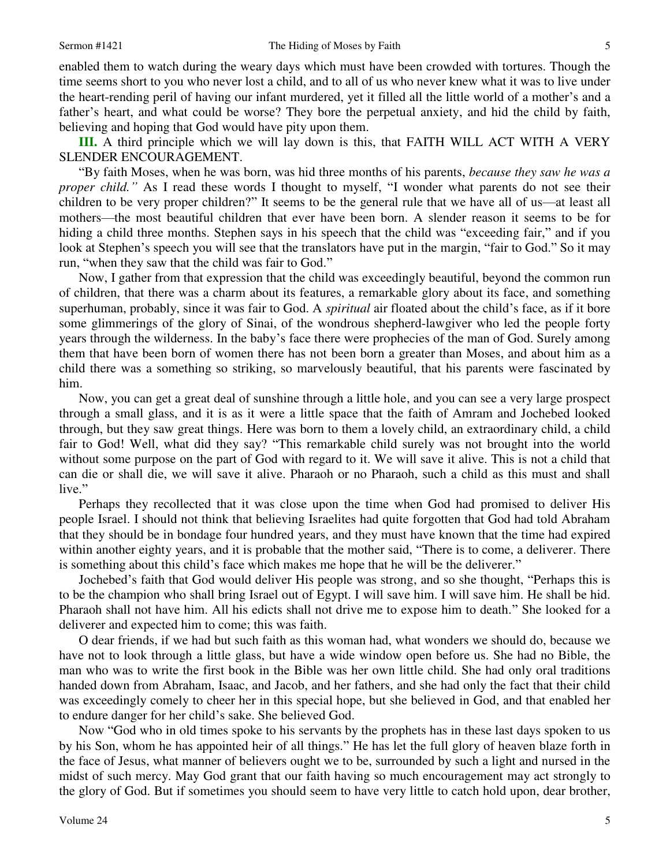enabled them to watch during the weary days which must have been crowded with tortures. Though the time seems short to you who never lost a child, and to all of us who never knew what it was to live under the heart-rending peril of having our infant murdered, yet it filled all the little world of a mother's and a father's heart, and what could be worse? They bore the perpetual anxiety, and hid the child by faith, believing and hoping that God would have pity upon them.

**III.** A third principle which we will lay down is this, that FAITH WILL ACT WITH A VERY SLENDER ENCOURAGEMENT.

"By faith Moses, when he was born, was hid three months of his parents, *because they saw he was a proper child."* As I read these words I thought to myself, "I wonder what parents do not see their children to be very proper children?" It seems to be the general rule that we have all of us—at least all mothers—the most beautiful children that ever have been born. A slender reason it seems to be for hiding a child three months. Stephen says in his speech that the child was "exceeding fair," and if you look at Stephen's speech you will see that the translators have put in the margin, "fair to God." So it may run, "when they saw that the child was fair to God."

Now, I gather from that expression that the child was exceedingly beautiful, beyond the common run of children, that there was a charm about its features, a remarkable glory about its face, and something superhuman, probably, since it was fair to God. A *spiritual* air floated about the child's face, as if it bore some glimmerings of the glory of Sinai, of the wondrous shepherd-lawgiver who led the people forty years through the wilderness. In the baby's face there were prophecies of the man of God. Surely among them that have been born of women there has not been born a greater than Moses, and about him as a child there was a something so striking, so marvelously beautiful, that his parents were fascinated by him.

Now, you can get a great deal of sunshine through a little hole, and you can see a very large prospect through a small glass, and it is as it were a little space that the faith of Amram and Jochebed looked through, but they saw great things. Here was born to them a lovely child, an extraordinary child, a child fair to God! Well, what did they say? "This remarkable child surely was not brought into the world without some purpose on the part of God with regard to it. We will save it alive. This is not a child that can die or shall die, we will save it alive. Pharaoh or no Pharaoh, such a child as this must and shall live."

Perhaps they recollected that it was close upon the time when God had promised to deliver His people Israel. I should not think that believing Israelites had quite forgotten that God had told Abraham that they should be in bondage four hundred years, and they must have known that the time had expired within another eighty years, and it is probable that the mother said, "There is to come, a deliverer. There is something about this child's face which makes me hope that he will be the deliverer."

Jochebed's faith that God would deliver His people was strong, and so she thought, "Perhaps this is to be the champion who shall bring Israel out of Egypt. I will save him. I will save him. He shall be hid. Pharaoh shall not have him. All his edicts shall not drive me to expose him to death." She looked for a deliverer and expected him to come; this was faith.

O dear friends, if we had but such faith as this woman had, what wonders we should do, because we have not to look through a little glass, but have a wide window open before us. She had no Bible, the man who was to write the first book in the Bible was her own little child. She had only oral traditions handed down from Abraham, Isaac, and Jacob, and her fathers, and she had only the fact that their child was exceedingly comely to cheer her in this special hope, but she believed in God, and that enabled her to endure danger for her child's sake. She believed God.

Now "God who in old times spoke to his servants by the prophets has in these last days spoken to us by his Son, whom he has appointed heir of all things." He has let the full glory of heaven blaze forth in the face of Jesus, what manner of believers ought we to be, surrounded by such a light and nursed in the midst of such mercy. May God grant that our faith having so much encouragement may act strongly to the glory of God. But if sometimes you should seem to have very little to catch hold upon, dear brother,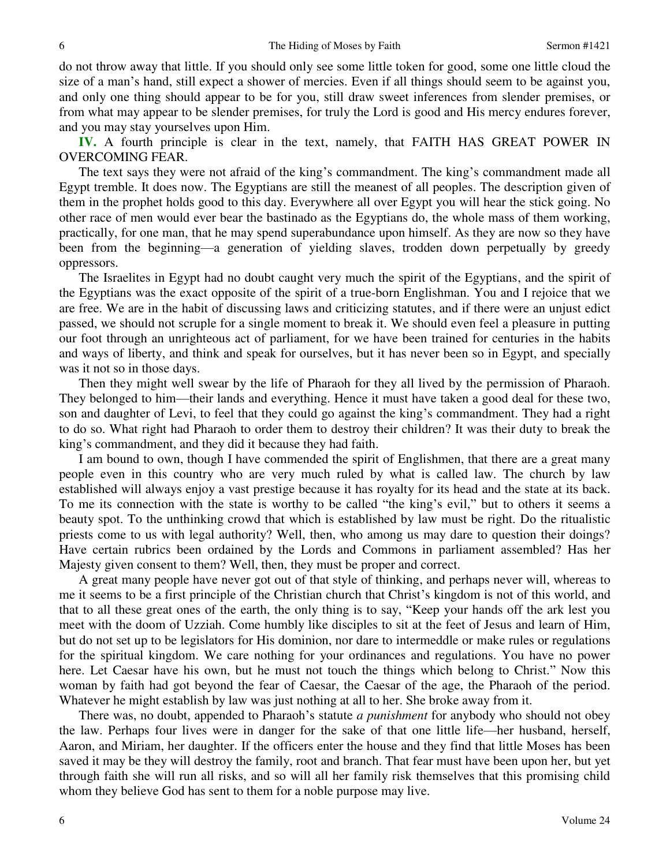do not throw away that little. If you should only see some little token for good, some one little cloud the size of a man's hand, still expect a shower of mercies. Even if all things should seem to be against you, and only one thing should appear to be for you, still draw sweet inferences from slender premises, or from what may appear to be slender premises, for truly the Lord is good and His mercy endures forever, and you may stay yourselves upon Him.

**IV.** A fourth principle is clear in the text, namely, that FAITH HAS GREAT POWER IN OVERCOMING FEAR.

The text says they were not afraid of the king's commandment. The king's commandment made all Egypt tremble. It does now. The Egyptians are still the meanest of all peoples. The description given of them in the prophet holds good to this day. Everywhere all over Egypt you will hear the stick going. No other race of men would ever bear the bastinado as the Egyptians do, the whole mass of them working, practically, for one man, that he may spend superabundance upon himself. As they are now so they have been from the beginning—a generation of yielding slaves, trodden down perpetually by greedy oppressors.

The Israelites in Egypt had no doubt caught very much the spirit of the Egyptians, and the spirit of the Egyptians was the exact opposite of the spirit of a true-born Englishman. You and I rejoice that we are free. We are in the habit of discussing laws and criticizing statutes, and if there were an unjust edict passed, we should not scruple for a single moment to break it. We should even feel a pleasure in putting our foot through an unrighteous act of parliament, for we have been trained for centuries in the habits and ways of liberty, and think and speak for ourselves, but it has never been so in Egypt, and specially was it not so in those days.

Then they might well swear by the life of Pharaoh for they all lived by the permission of Pharaoh. They belonged to him—their lands and everything. Hence it must have taken a good deal for these two, son and daughter of Levi, to feel that they could go against the king's commandment. They had a right to do so. What right had Pharaoh to order them to destroy their children? It was their duty to break the king's commandment, and they did it because they had faith.

I am bound to own, though I have commended the spirit of Englishmen, that there are a great many people even in this country who are very much ruled by what is called law. The church by law established will always enjoy a vast prestige because it has royalty for its head and the state at its back. To me its connection with the state is worthy to be called "the king's evil," but to others it seems a beauty spot. To the unthinking crowd that which is established by law must be right. Do the ritualistic priests come to us with legal authority? Well, then, who among us may dare to question their doings? Have certain rubrics been ordained by the Lords and Commons in parliament assembled? Has her Majesty given consent to them? Well, then, they must be proper and correct.

A great many people have never got out of that style of thinking, and perhaps never will, whereas to me it seems to be a first principle of the Christian church that Christ's kingdom is not of this world, and that to all these great ones of the earth, the only thing is to say, "Keep your hands off the ark lest you meet with the doom of Uzziah. Come humbly like disciples to sit at the feet of Jesus and learn of Him, but do not set up to be legislators for His dominion, nor dare to intermeddle or make rules or regulations for the spiritual kingdom. We care nothing for your ordinances and regulations. You have no power here. Let Caesar have his own, but he must not touch the things which belong to Christ." Now this woman by faith had got beyond the fear of Caesar, the Caesar of the age, the Pharaoh of the period. Whatever he might establish by law was just nothing at all to her. She broke away from it.

There was, no doubt, appended to Pharaoh's statute *a punishment* for anybody who should not obey the law. Perhaps four lives were in danger for the sake of that one little life—her husband, herself, Aaron, and Miriam, her daughter. If the officers enter the house and they find that little Moses has been saved it may be they will destroy the family, root and branch. That fear must have been upon her, but yet through faith she will run all risks, and so will all her family risk themselves that this promising child whom they believe God has sent to them for a noble purpose may live.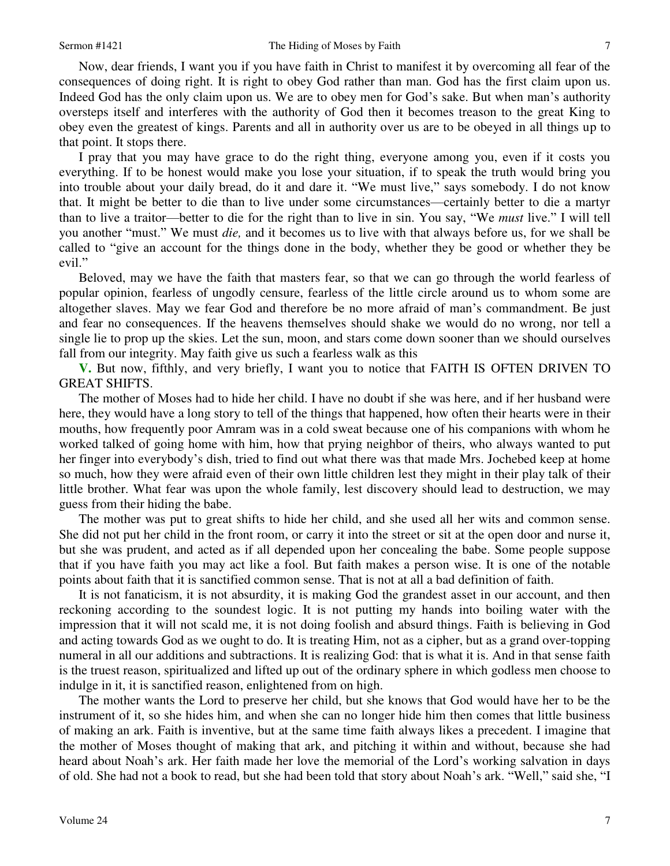Now, dear friends, I want you if you have faith in Christ to manifest it by overcoming all fear of the consequences of doing right. It is right to obey God rather than man. God has the first claim upon us. Indeed God has the only claim upon us. We are to obey men for God's sake. But when man's authority oversteps itself and interferes with the authority of God then it becomes treason to the great King to obey even the greatest of kings. Parents and all in authority over us are to be obeyed in all things up to that point. It stops there.

I pray that you may have grace to do the right thing, everyone among you, even if it costs you everything. If to be honest would make you lose your situation, if to speak the truth would bring you into trouble about your daily bread, do it and dare it. "We must live," says somebody. I do not know that. It might be better to die than to live under some circumstances—certainly better to die a martyr than to live a traitor—better to die for the right than to live in sin. You say, "We *must* live." I will tell you another "must." We must *die,* and it becomes us to live with that always before us, for we shall be called to "give an account for the things done in the body, whether they be good or whether they be evil."

Beloved, may we have the faith that masters fear, so that we can go through the world fearless of popular opinion, fearless of ungodly censure, fearless of the little circle around us to whom some are altogether slaves. May we fear God and therefore be no more afraid of man's commandment. Be just and fear no consequences. If the heavens themselves should shake we would do no wrong, nor tell a single lie to prop up the skies. Let the sun, moon, and stars come down sooner than we should ourselves fall from our integrity. May faith give us such a fearless walk as this

**V.** But now, fifthly, and very briefly, I want you to notice that FAITH IS OFTEN DRIVEN TO GREAT SHIFTS.

The mother of Moses had to hide her child. I have no doubt if she was here, and if her husband were here, they would have a long story to tell of the things that happened, how often their hearts were in their mouths, how frequently poor Amram was in a cold sweat because one of his companions with whom he worked talked of going home with him, how that prying neighbor of theirs, who always wanted to put her finger into everybody's dish, tried to find out what there was that made Mrs. Jochebed keep at home so much, how they were afraid even of their own little children lest they might in their play talk of their little brother. What fear was upon the whole family, lest discovery should lead to destruction, we may guess from their hiding the babe.

The mother was put to great shifts to hide her child, and she used all her wits and common sense. She did not put her child in the front room, or carry it into the street or sit at the open door and nurse it, but she was prudent, and acted as if all depended upon her concealing the babe. Some people suppose that if you have faith you may act like a fool. But faith makes a person wise. It is one of the notable points about faith that it is sanctified common sense. That is not at all a bad definition of faith.

It is not fanaticism, it is not absurdity, it is making God the grandest asset in our account, and then reckoning according to the soundest logic. It is not putting my hands into boiling water with the impression that it will not scald me, it is not doing foolish and absurd things. Faith is believing in God and acting towards God as we ought to do. It is treating Him, not as a cipher, but as a grand over-topping numeral in all our additions and subtractions. It is realizing God: that is what it is. And in that sense faith is the truest reason, spiritualized and lifted up out of the ordinary sphere in which godless men choose to indulge in it, it is sanctified reason, enlightened from on high.

The mother wants the Lord to preserve her child, but she knows that God would have her to be the instrument of it, so she hides him, and when she can no longer hide him then comes that little business of making an ark. Faith is inventive, but at the same time faith always likes a precedent. I imagine that the mother of Moses thought of making that ark, and pitching it within and without, because she had heard about Noah's ark. Her faith made her love the memorial of the Lord's working salvation in days of old. She had not a book to read, but she had been told that story about Noah's ark. "Well," said she, "I

7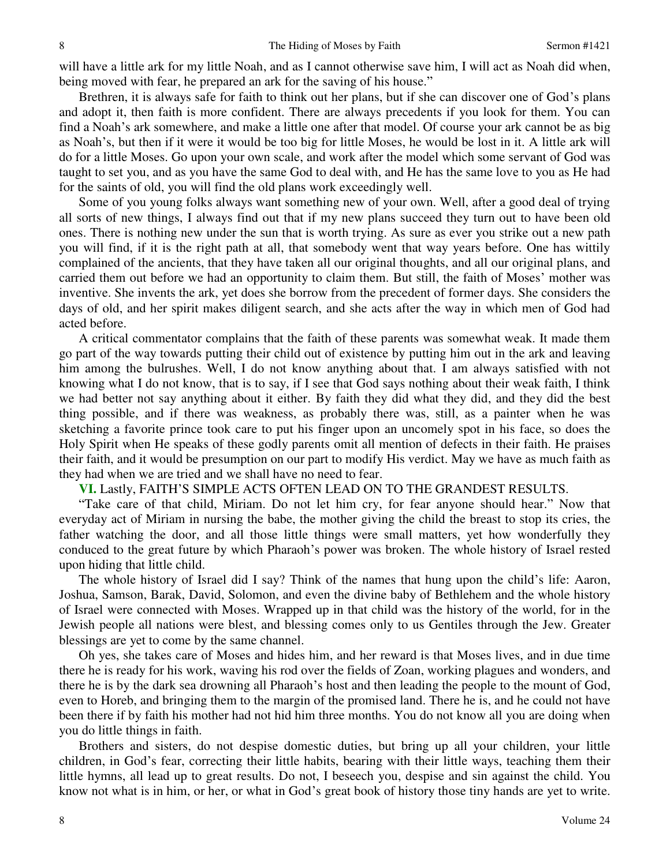will have a little ark for my little Noah, and as I cannot otherwise save him, I will act as Noah did when, being moved with fear, he prepared an ark for the saving of his house."

Brethren, it is always safe for faith to think out her plans, but if she can discover one of God's plans and adopt it, then faith is more confident. There are always precedents if you look for them. You can find a Noah's ark somewhere, and make a little one after that model. Of course your ark cannot be as big as Noah's, but then if it were it would be too big for little Moses, he would be lost in it. A little ark will do for a little Moses. Go upon your own scale, and work after the model which some servant of God was taught to set you, and as you have the same God to deal with, and He has the same love to you as He had for the saints of old, you will find the old plans work exceedingly well.

Some of you young folks always want something new of your own. Well, after a good deal of trying all sorts of new things, I always find out that if my new plans succeed they turn out to have been old ones. There is nothing new under the sun that is worth trying. As sure as ever you strike out a new path you will find, if it is the right path at all, that somebody went that way years before. One has wittily complained of the ancients, that they have taken all our original thoughts, and all our original plans, and carried them out before we had an opportunity to claim them. But still, the faith of Moses' mother was inventive. She invents the ark, yet does she borrow from the precedent of former days. She considers the days of old, and her spirit makes diligent search, and she acts after the way in which men of God had acted before.

A critical commentator complains that the faith of these parents was somewhat weak. It made them go part of the way towards putting their child out of existence by putting him out in the ark and leaving him among the bulrushes. Well, I do not know anything about that. I am always satisfied with not knowing what I do not know, that is to say, if I see that God says nothing about their weak faith, I think we had better not say anything about it either. By faith they did what they did, and they did the best thing possible, and if there was weakness, as probably there was, still, as a painter when he was sketching a favorite prince took care to put his finger upon an uncomely spot in his face, so does the Holy Spirit when He speaks of these godly parents omit all mention of defects in their faith. He praises their faith, and it would be presumption on our part to modify His verdict. May we have as much faith as they had when we are tried and we shall have no need to fear.

**VI.** Lastly, FAITH'S SIMPLE ACTS OFTEN LEAD ON TO THE GRANDEST RESULTS.

"Take care of that child, Miriam. Do not let him cry, for fear anyone should hear." Now that everyday act of Miriam in nursing the babe, the mother giving the child the breast to stop its cries, the father watching the door, and all those little things were small matters, yet how wonderfully they conduced to the great future by which Pharaoh's power was broken. The whole history of Israel rested upon hiding that little child.

The whole history of Israel did I say? Think of the names that hung upon the child's life: Aaron, Joshua, Samson, Barak, David, Solomon, and even the divine baby of Bethlehem and the whole history of Israel were connected with Moses. Wrapped up in that child was the history of the world, for in the Jewish people all nations were blest, and blessing comes only to us Gentiles through the Jew. Greater blessings are yet to come by the same channel.

Oh yes, she takes care of Moses and hides him, and her reward is that Moses lives, and in due time there he is ready for his work, waving his rod over the fields of Zoan, working plagues and wonders, and there he is by the dark sea drowning all Pharaoh's host and then leading the people to the mount of God, even to Horeb, and bringing them to the margin of the promised land. There he is, and he could not have been there if by faith his mother had not hid him three months. You do not know all you are doing when you do little things in faith.

Brothers and sisters, do not despise domestic duties, but bring up all your children, your little children, in God's fear, correcting their little habits, bearing with their little ways, teaching them their little hymns, all lead up to great results. Do not, I beseech you, despise and sin against the child. You know not what is in him, or her, or what in God's great book of history those tiny hands are yet to write.